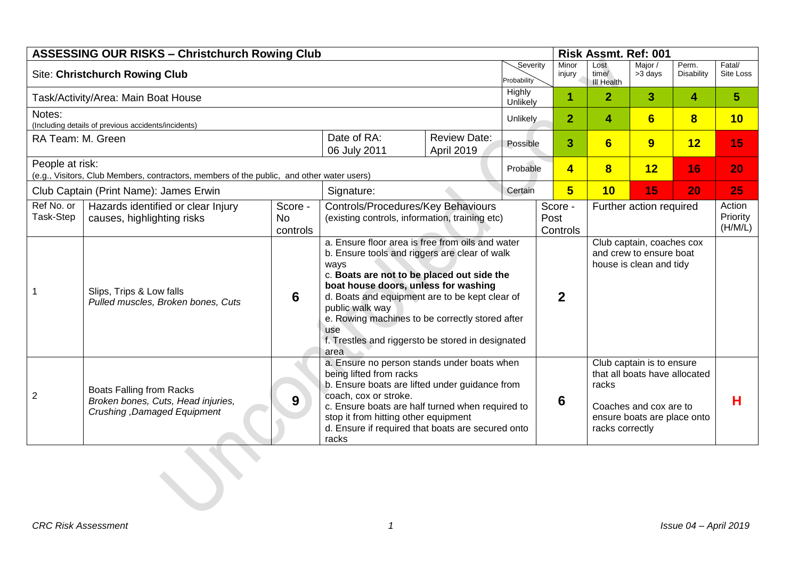| <b>ASSESSING OUR RISKS - Christchurch Rowing Club</b>                                                        |                                                                                                      |                                  |                                                                                                                                                                                                                                                                                                                                                                                             |                                   |          | Risk Assmt. Ref: 001        |                                    |                                                                                                                                                 |                         |                               |    |
|--------------------------------------------------------------------------------------------------------------|------------------------------------------------------------------------------------------------------|----------------------------------|---------------------------------------------------------------------------------------------------------------------------------------------------------------------------------------------------------------------------------------------------------------------------------------------------------------------------------------------------------------------------------------------|-----------------------------------|----------|-----------------------------|------------------------------------|-------------------------------------------------------------------------------------------------------------------------------------------------|-------------------------|-------------------------------|----|
|                                                                                                              | <b>Site: Christchurch Rowing Club</b>                                                                |                                  |                                                                                                                                                                                                                                                                                                                                                                                             | Severity<br>Probability           |          | Minor<br>injury             | Lost<br>time/<br><b>III Health</b> | Major /<br>>3 days                                                                                                                              | Perm.<br>Disability     | Fatal/<br>Site Loss           |    |
|                                                                                                              | Task/Activity/Area: Main Boat House                                                                  |                                  | Highly<br>Unlikely                                                                                                                                                                                                                                                                                                                                                                          |                                   |          | 1                           | $\overline{2}$                     | $\mathbf{3}$                                                                                                                                    | 4                       | $5\phantom{.0}$               |    |
| Notes:                                                                                                       | (Including details of previous accidents/incidents)                                                  |                                  |                                                                                                                                                                                                                                                                                                                                                                                             | Unlikely                          |          | $\overline{2}$              | 4                                  | 6                                                                                                                                               | $\overline{\mathbf{8}}$ | 10                            |    |
| RA Team: M. Green                                                                                            |                                                                                                      |                                  | Date of RA:<br>06 July 2011                                                                                                                                                                                                                                                                                                                                                                 | <b>Review Date:</b><br>April 2019 | Possible |                             | 3                                  | $6 \overline{6}$                                                                                                                                | 9                       | 12                            | 15 |
| People at risk:<br>(e.g., Visitors, Club Members, contractors, members of the public, and other water users) |                                                                                                      |                                  |                                                                                                                                                                                                                                                                                                                                                                                             |                                   | Probable |                             | $\overline{\mathbf{4}}$            | $\bf{8}$                                                                                                                                        | 12                      | 16                            | 20 |
|                                                                                                              | Club Captain (Print Name): James Erwin                                                               |                                  | Signature:                                                                                                                                                                                                                                                                                                                                                                                  |                                   | Certain  |                             | $5\overline{5}$                    | 10                                                                                                                                              | 15                      | 20                            | 25 |
| Ref No. or<br>Task-Step                                                                                      | Hazards identified or clear Injury<br>causes, highlighting risks                                     | Score -<br><b>No</b><br>controls | Controls/Procedures/Key Behaviours<br>(existing controls, information, training etc)                                                                                                                                                                                                                                                                                                        |                                   |          | Score -<br>Post<br>Controls |                                    | Further action required                                                                                                                         |                         | Action<br>Priority<br>(H/M/L) |    |
|                                                                                                              | Slips, Trips & Low falls<br>Pulled muscles, Broken bones, Cuts                                       | 6                                | a. Ensure floor area is free from oils and water<br>b. Ensure tools and riggers are clear of walk<br>ways<br>c. Boats are not to be placed out side the<br>boat house doors, unless for washing<br>d. Boats and equipment are to be kept clear of<br>public walk way<br>e. Rowing machines to be correctly stored after<br>use<br>f. Trestles and riggersto be stored in designated<br>area |                                   |          | $\mathbf{2}$                |                                    | Club captain, coaches cox<br>and crew to ensure boat<br>house is clean and tidy                                                                 |                         |                               |    |
| $\mathbf{2}$                                                                                                 | <b>Boats Falling from Racks</b><br>Broken bones, Cuts, Head injuries,<br>Crushing, Damaged Equipment | 9                                | a. Ensure no person stands under boats when<br>being lifted from racks<br>b. Ensure boats are lifted under guidance from<br>coach, cox or stroke.<br>c. Ensure boats are half turned when required to<br>stop it from hitting other equipment<br>d. Ensure if required that boats are secured onto<br>racks                                                                                 |                                   |          | 6                           |                                    | Club captain is to ensure<br>that all boats have allocated<br>racks<br>Coaches and cox are to<br>ensure boats are place onto<br>racks correctly |                         | н                             |    |
|                                                                                                              |                                                                                                      |                                  |                                                                                                                                                                                                                                                                                                                                                                                             |                                   |          |                             |                                    |                                                                                                                                                 |                         |                               |    |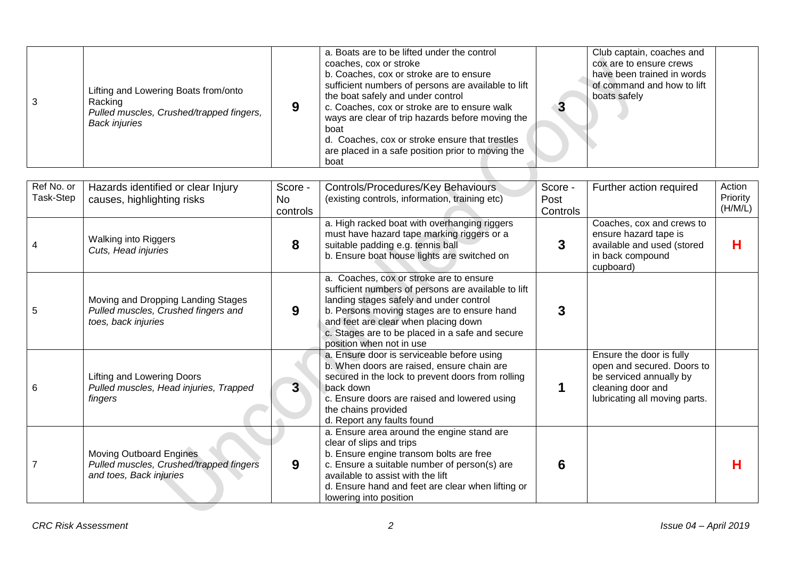| Lifting and Lowering Boats from/onto<br>the boat safely and under control<br>boats safely<br>Racking<br>c. Coaches, cox or stroke are to ensure walk<br>Pulled muscles, Crushed/trapped fingers,<br>ways are clear of trip hazards before moving the<br><b>Back injuries</b><br>boat<br>d. Coaches, cox or stroke ensure that trestles<br>are placed in a safe position prior to moving the |  |  |  |  | a. Boats are to be lifted under the control<br>coaches, cox or stroke<br>b. Coaches, cox or stroke are to ensure<br>sufficient numbers of persons are available to lift<br>boat |  | Club captain, coaches and<br>cox are to ensure crews<br>have been trained in words<br>of command and how to lift |  |
|---------------------------------------------------------------------------------------------------------------------------------------------------------------------------------------------------------------------------------------------------------------------------------------------------------------------------------------------------------------------------------------------|--|--|--|--|---------------------------------------------------------------------------------------------------------------------------------------------------------------------------------|--|------------------------------------------------------------------------------------------------------------------|--|
|---------------------------------------------------------------------------------------------------------------------------------------------------------------------------------------------------------------------------------------------------------------------------------------------------------------------------------------------------------------------------------------------|--|--|--|--|---------------------------------------------------------------------------------------------------------------------------------------------------------------------------------|--|------------------------------------------------------------------------------------------------------------------|--|

| Ref No. or<br>Task-Step | Hazards identified or clear Injury<br>causes, highlighting risks                                     | Score -<br>No.<br>controls | Controls/Procedures/Key Behaviours<br>(existing controls, information, training etc)                                                                                                                                                                                                                            | Score -<br>Post<br>Controls | Further action required                                                                                                                 | Action<br>Priority<br>(H/M/L) |
|-------------------------|------------------------------------------------------------------------------------------------------|----------------------------|-----------------------------------------------------------------------------------------------------------------------------------------------------------------------------------------------------------------------------------------------------------------------------------------------------------------|-----------------------------|-----------------------------------------------------------------------------------------------------------------------------------------|-------------------------------|
|                         | <b>Walking into Riggers</b><br>Cuts, Head injuries                                                   | 8                          | a. High racked boat with overhanging riggers<br>must have hazard tape marking riggers or a<br>suitable padding e.g. tennis ball<br>b. Ensure boat house lights are switched on                                                                                                                                  | 3                           | Coaches, cox and crews to<br>ensure hazard tape is<br>available and used (stored<br>in back compound<br>cupboard)                       | н                             |
| 5                       | Moving and Dropping Landing Stages<br>Pulled muscles, Crushed fingers and<br>toes, back injuries     | 9                          | a. Coaches, cox or stroke are to ensure<br>sufficient numbers of persons are available to lift<br>landing stages safely and under control<br>b. Persons moving stages are to ensure hand<br>and feet are clear when placing down<br>c. Stages are to be placed in a safe and secure<br>position when not in use | 3                           |                                                                                                                                         |                               |
| 6                       | <b>Lifting and Lowering Doors</b><br>Pulled muscles, Head injuries, Trapped<br>fingers               | 3 <sup>1</sup>             | a. Ensure door is serviceable before using<br>b. When doors are raised, ensure chain are<br>secured in the lock to prevent doors from rolling<br>back down<br>c. Ensure doors are raised and lowered using<br>the chains provided<br>d. Report any faults found                                                 |                             | Ensure the door is fully<br>open and secured. Doors to<br>be serviced annually by<br>cleaning door and<br>lubricating all moving parts. |                               |
|                         | <b>Moving Outboard Engines</b><br>Pulled muscles, Crushed/trapped fingers<br>and toes, Back injuries | 9                          | a. Ensure area around the engine stand are<br>clear of slips and trips<br>b. Ensure engine transom bolts are free<br>c. Ensure a suitable number of person(s) are<br>available to assist with the lift<br>d. Ensure hand and feet are clear when lifting or<br>lowering into position                           | 6                           |                                                                                                                                         | н                             |